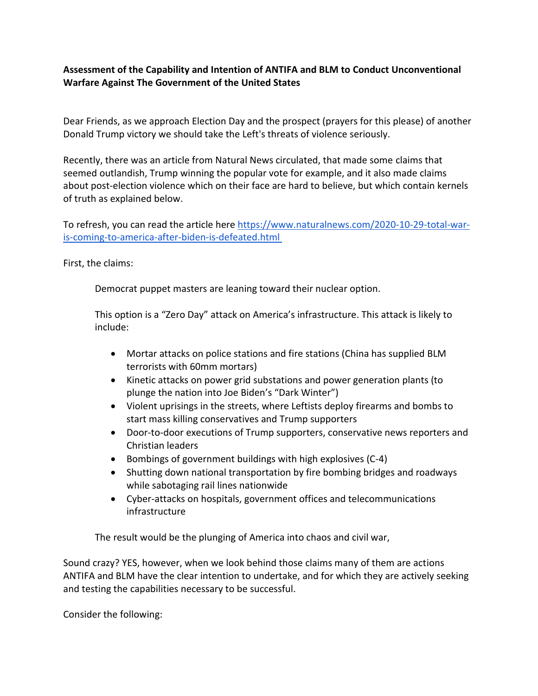## **Assessment of the Capability and Intention of ANTIFA and BLM to Conduct Unconventional Warfare Against The Government of the United States**

Dear Friends, as we approach Election Day and the prospect (prayers for this please) of another Donald Trump victory we should take the Left's threats of violence seriously.

Recently, there was an article from Natural News circulated, that made some claims that seemed outlandish, Trump winning the popular vote for example, and it also made claims about post-election violence which on their face are hard to believe, but which contain kernels of truth as explained below.

To refresh, you can read the article here [https://www.naturalnews.com/2020-10-29-total-war](https://www.naturalnews.com/2020-10-29-total-war-is-coming-to-america-after-biden-is-defeated.html)[is-coming-to-america-after-biden-is-defeated.html](https://www.naturalnews.com/2020-10-29-total-war-is-coming-to-america-after-biden-is-defeated.html)

First, the claims:

Democrat puppet masters are leaning toward their nuclear option.

This option is a "Zero Day" attack on America's infrastructure. This attack is likely to include:

- Mortar attacks on police stations and fire stations (China has supplied BLM terrorists with 60mm mortars)
- Kinetic attacks on power grid substations and power generation plants (to plunge the nation into Joe Biden's "Dark Winter")
- Violent uprisings in the streets, where Leftists deploy firearms and bombs to start mass killing conservatives and Trump supporters
- Door-to-door executions of Trump supporters, conservative news reporters and Christian leaders
- Bombings of government buildings with high explosives (C-4)
- Shutting down national transportation by fire bombing bridges and roadways while sabotaging rail lines nationwide
- Cyber-attacks on hospitals, government offices and telecommunications infrastructure

The result would be the plunging of America into chaos and civil war,

Sound crazy? YES, however, when we look behind those claims many of them are actions ANTIFA and BLM have the clear intention to undertake, and for which they are actively seeking and testing the capabilities necessary to be successful.

Consider the following: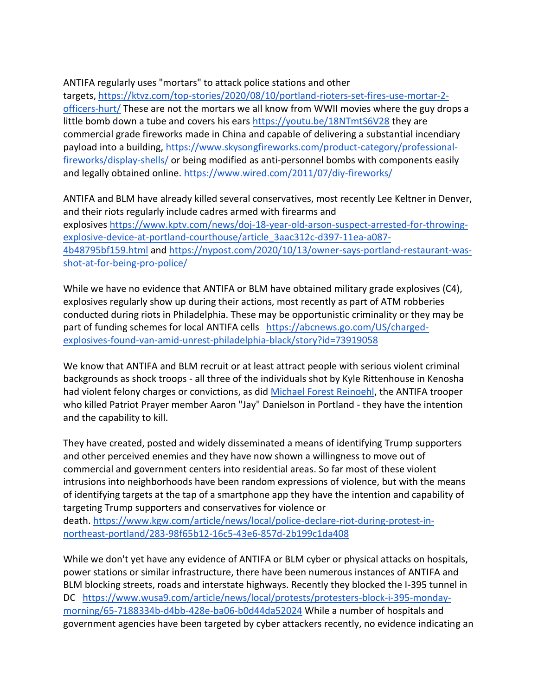## ANTIFA regularly uses "mortars" to attack police stations and other

targets, [https://ktvz.com/top-stories/2020/08/10/portland-rioters-set-fires-use-mortar-2](https://ktvz.com/top-stories/2020/08/10/portland-rioters-set-fires-use-mortar-2-officers-hurt/) [officers-hurt/](https://ktvz.com/top-stories/2020/08/10/portland-rioters-set-fires-use-mortar-2-officers-hurt/) These are not the mortars we all know from WWII movies where the guy drops a little bomb down a tube and covers his ears <https://youtu.be/18NTmtS6V28> they are commercial grade fireworks made in China and capable of delivering a substantial incendiary payload into a building, [https://www.skysongfireworks.com/product-category/professional](https://www.skysongfireworks.com/product-category/professional-fireworks/display-shells/)[fireworks/display-shells/](https://www.skysongfireworks.com/product-category/professional-fireworks/display-shells/) or being modified as anti-personnel bombs with components easily and legally obtained online. <https://www.wired.com/2011/07/diy-fireworks/>

ANTIFA and BLM have already killed several conservatives, most recently Lee Keltner in Denver, and their riots regularly include cadres armed with firearms and explosives [https://www.kptv.com/news/doj-18-year-old-arson-suspect-arrested-for-throwing](https://www.kptv.com/news/doj-18-year-old-arson-suspect-arrested-for-throwing-explosive-device-at-portland-courthouse/article_3aac312c-d397-11ea-a087-4b48795bf159.html)[explosive-device-at-portland-courthouse/article\\_3aac312c-d397-11ea-a087-](https://www.kptv.com/news/doj-18-year-old-arson-suspect-arrested-for-throwing-explosive-device-at-portland-courthouse/article_3aac312c-d397-11ea-a087-4b48795bf159.html) [4b48795bf159.html](https://www.kptv.com/news/doj-18-year-old-arson-suspect-arrested-for-throwing-explosive-device-at-portland-courthouse/article_3aac312c-d397-11ea-a087-4b48795bf159.html) and [https://nypost.com/2020/10/13/owner-says-portland-restaurant-was](https://nypost.com/2020/10/13/owner-says-portland-restaurant-was-shot-at-for-being-pro-police/)[shot-at-for-being-pro-police/](https://nypost.com/2020/10/13/owner-says-portland-restaurant-was-shot-at-for-being-pro-police/)

While we have no evidence that ANTIFA or BLM have obtained military grade explosives (C4), explosives regularly show up during their actions, most recently as part of ATM robberies conducted during riots in Philadelphia. These may be opportunistic criminality or they may be part of funding schemes for local ANTIFA cells [https://abcnews.go.com/US/charged](https://abcnews.go.com/US/charged-explosives-found-van-amid-unrest-philadelphia-black/story?id=73919058)[explosives-found-van-amid-unrest-philadelphia-black/story?id=73919058](https://abcnews.go.com/US/charged-explosives-found-van-amid-unrest-philadelphia-black/story?id=73919058)

We know that ANTIFA and BLM recruit or at least attract people with serious violent criminal backgrounds as shock troops - all three of the individuals shot by Kyle Rittenhouse in Kenosha had violent felony charges or convictions, as did [Michael Forest Reinoehl,](https://www.usatoday.com/story/news/nation/2020/09/03/michael-reinoehl-portland-shooting-suspect-killed/5713274002/) the ANTIFA trooper who killed Patriot Prayer member Aaron "Jay" Danielson in Portland - they have the intention and the capability to kill.

They have created, posted and widely disseminated a means of identifying Trump supporters and other perceived enemies and they have now shown a willingness to move out of commercial and government centers into residential areas. So far most of these violent intrusions into neighborhoods have been random expressions of violence, but with the means of identifying targets at the tap of a smartphone app they have the intention and capability of targeting Trump supporters and conservatives for violence or death. [https://www.kgw.com/article/news/local/police-declare-riot-during-protest-in](https://www.kgw.com/article/news/local/police-declare-riot-during-protest-in-northeast-portland/283-98f65b12-16c5-43e6-857d-2b199c1da408)[northeast-portland/283-98f65b12-16c5-43e6-857d-2b199c1da408](https://www.kgw.com/article/news/local/police-declare-riot-during-protest-in-northeast-portland/283-98f65b12-16c5-43e6-857d-2b199c1da408)

While we don't yet have any evidence of ANTIFA or BLM cyber or physical attacks on hospitals, power stations or similar infrastructure, there have been numerous instances of ANTIFA and BLM blocking streets, roads and interstate highways. Recently they blocked the I-395 tunnel in DC [https://www.wusa9.com/article/news/local/protests/protesters-block-i-395-monday](https://www.wusa9.com/article/news/local/protests/protesters-block-i-395-monday-morning/65-7188334b-d4bb-428e-ba06-b0d44da52024)[morning/65-7188334b-d4bb-428e-ba06-b0d44da52024](https://www.wusa9.com/article/news/local/protests/protesters-block-i-395-monday-morning/65-7188334b-d4bb-428e-ba06-b0d44da52024) While a number of hospitals and government agencies have been targeted by cyber attackers recently, no evidence indicating an